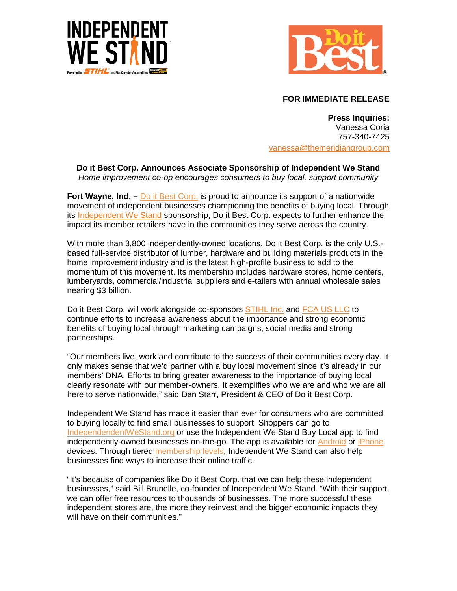



## **FOR IMMEDIATE RELEASE**

**Press Inquiries:** Vanessa Coria 757-340-7425 [vanessa@themeridiangroup.com](mailto:vanessa@themeridiangroup.com)

**Do it Best Corp. Announces Associate Sponsorship of Independent We Stand** *Home improvement co-op encourages consumers to buy local, support community*

**Fort Wayne, Ind.** – Do it Best Corp. is proud to announce its support of a nationwide movement of independent businesses championing the benefits of buying local. Through its [Independent We Stand](http://www.independentwestand.org/) sponsorship, Do it Best Corp. expects to further enhance the impact its member retailers have in the communities they serve across the country.

With more than 3,800 independently-owned locations, Do it Best Corp. is the only U.S. based full-service distributor of lumber, hardware and building materials products in the home improvement industry and is the latest high-profile business to add to the momentum of this movement. Its membership includes hardware stores, home centers, lumberyards, commercial/industrial suppliers and e-tailers with annual wholesale sales nearing \$3 billion.

Do it Best Corp. will work alongside co-sponsors [STIHL Inc.](http://www.stihlusa.com/) and [FCA US LLC](http://www.fcaworkvehiclesus.com/en/) to continue efforts to increase awareness about the importance and strong economic benefits of buying local through marketing campaigns, social media and strong partnerships.

"Our members live, work and contribute to the success of their communities every day. It only makes sense that we'd partner with a buy local movement since it's already in our members' DNA. Efforts to bring greater awareness to the importance of buying local clearly resonate with our member-owners. It exemplifies who we are and who we are all here to serve nationwide," said Dan Starr, President & CEO of Do it Best Corp.

Independent We Stand has made it easier than ever for consumers who are committed to buying locally to find small businesses to support. Shoppers can go to [IndependendentWeStand.org](http://www.independentwestand.org/) or use the Independent We Stand Buy Local app to find independently-owned businesses on-the-go. The app is available for **[Android](http://bit.ly/SSUqx0) or [iPhone](https://itunes.apple.com/app/independent-we-stand-mobile/id574423785?mt=8)** devices. Through tiered [membership levels,](http://www.independentwestand.org/membership/) Independent We Stand can also help businesses find ways to increase their online traffic.

"It's because of companies like Do it Best Corp. that we can help these independent businesses," said Bill Brunelle, co-founder of Independent We Stand. "With their support, we can offer free resources to thousands of businesses. The more successful these independent stores are, the more they reinvest and the bigger economic impacts they will have on their communities."